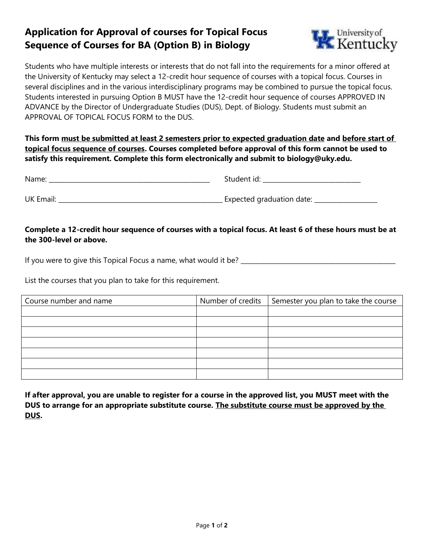## **Application for Approval of courses for Topical Focus Sequence of Courses for BA (Option B) in Biology**



Students who have multiple interests or interests that do not fall into the requirements for a minor offered at the University of Kentucky may select a 12-credit hour sequence of courses with a topical focus. Courses in several disciplines and in the various interdisciplinary programs may be combined to pursue the topical focus. Students interested in pursuing Option B MUST have the 12-credit hour sequence of courses APPROVED IN ADVANCE by the Director of Undergraduate Studies (DUS), Dept. of Biology. Students must submit an APPROVAL OF TOPICAL FOCUS FORM to the DUS.

**This form must be submitted at least 2 semesters prior to expected graduation date and before start of topical focus sequence of courses. Courses completed before approval of this form cannot be used to satisfy this requirement. Complete this form electronically and submit to biology@uky.edu.** 

| Name:            | Student id:               |
|------------------|---------------------------|
| <b>UK Email:</b> | Expected graduation date: |

## **Complete a 12-credit hour sequence of courses with a topical focus. At least 6 of these hours must be at the 300-level or above.**

If you were to give this Topical Focus a name, what would it be? \_\_\_\_\_\_\_\_\_\_\_\_\_\_\_\_\_\_\_\_\_\_\_\_\_\_\_\_\_\_\_\_\_\_\_\_\_\_\_\_\_\_\_\_\_\_\_\_\_

List the courses that you plan to take for this requirement.

| Course number and name | Number of credits $\vert$ Semester you plan to take the course |
|------------------------|----------------------------------------------------------------|
|                        |                                                                |
|                        |                                                                |
|                        |                                                                |
|                        |                                                                |
|                        |                                                                |
|                        |                                                                |
|                        |                                                                |

**If after approval, you are unable to register for a course in the approved list, you MUST meet with the DUS to arrange for an appropriate substitute course. The substitute course must be approved by the DUS.**